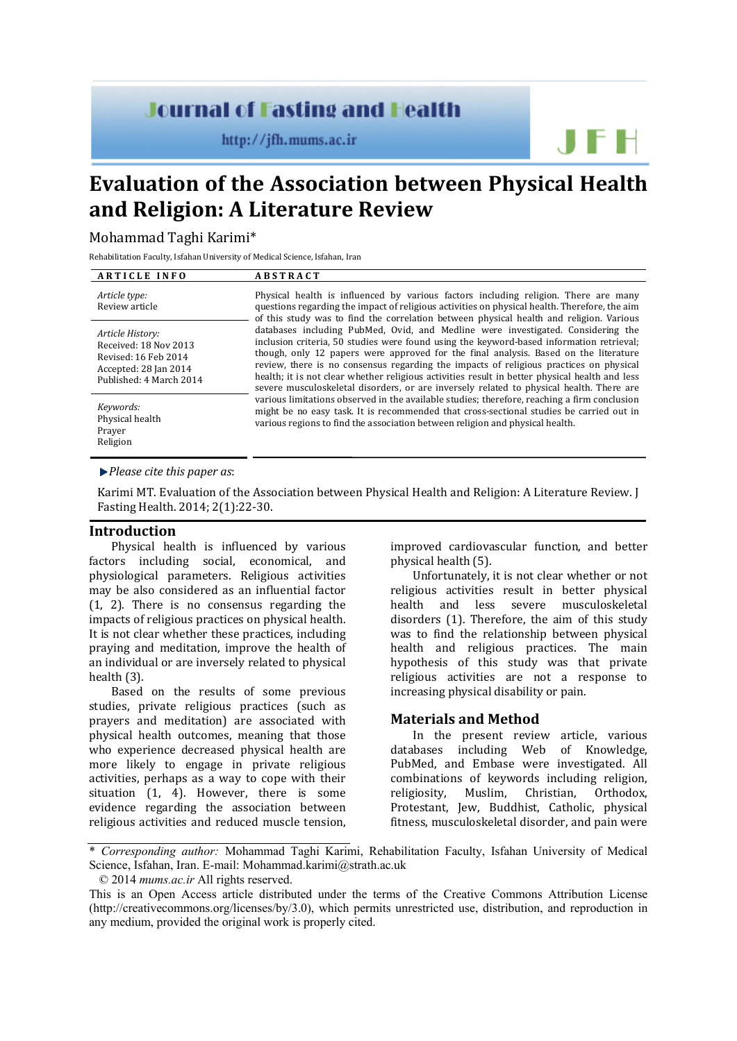# **Journal of Fasting and Health**

 $http://ifh.mums.ac.ir$ 

**Evaluation of the Association between Physical Health and Religion: A Literature Review**

# Mohammad Taghi Karimi\*

Rehabilitation Faculty, Isfahan University of Medical Science, Isfahan, Iran

| <b>ARTICLE INFO</b>                                                                                                   | <b>ABSTRACT</b>                                                                                                                                                                                                                                                                                                                                                                                                                                                                                                                                              |
|-----------------------------------------------------------------------------------------------------------------------|--------------------------------------------------------------------------------------------------------------------------------------------------------------------------------------------------------------------------------------------------------------------------------------------------------------------------------------------------------------------------------------------------------------------------------------------------------------------------------------------------------------------------------------------------------------|
| Article type:<br>Review article                                                                                       | Physical health is influenced by various factors including religion. There are many<br>questions regarding the impact of religious activities on physical health. Therefore, the aim<br>of this study was to find the correlation between physical health and religion. Various                                                                                                                                                                                                                                                                              |
| Article History:<br>Received: 18 Nov 2013<br>Revised: 16 Feb 2014<br>Accepted: 28 Jan 2014<br>Published: 4 March 2014 | databases including PubMed, Ovid, and Medline were investigated. Considering the<br>inclusion criteria, 50 studies were found using the keyword-based information retrieval;<br>though, only 12 papers were approved for the final analysis. Based on the literature<br>review, there is no consensus regarding the impacts of religious practices on physical<br>health; it is not clear whether religious activities result in better physical health and less<br>severe musculoskeletal disorders, or are inversely related to physical health. There are |
| Keywords:<br>Physical health<br>Prayer<br>Religion                                                                    | various limitations observed in the available studies; therefore, reaching a firm conclusion<br>might be no easy task. It is recommended that cross-sectional studies be carried out in<br>various regions to find the association between religion and physical health.                                                                                                                                                                                                                                                                                     |

*Please cite this paper as*:

Karimi MT. Evaluation of the Association between Physical Health and Religion: A Literature Review. J Fasting Health. 2014; 2(1):22-30.

### **Introduction**

Physical health is influenced by various factors including social, economical, and physiological parameters. Religious activities may be also considered as an influential factor [\(1,](#page-7-0) [2\)](#page-7-1). There is no consensus regarding the impacts of religious practices on physical health. It is not clear whether these practices, including praying and meditation, improve the health of an individual or are inversely related to physical health [\(3\)](#page-7-2).

Based on the results of some previous studies, private religious practices (such as prayers and meditation) are associated with physical health outcomes, meaning that those who experience decreased physical health are more likely to engage in private religious activities, perhaps as a way to cope with their situation [\(1,](#page-7-0) [4\)](#page-7-3). However, there is some evidence regarding the association between religious activities and reduced muscle tension, improved cardiovascular function, and better physical health [\(5\)](#page-7-4).

JFH

Unfortunately, it is not clear whether or not religious activities result in better physical<br>health and less severe musculoskeletal severe musculoskeletal disorders [\(1\)](#page-7-0). Therefore, the aim of this study was to find the relationship between physical health and religious practices. The main hypothesis of this study was that private religious activities are not a response to increasing physical disability or pain.

## **Materials and Method**

In the present review article, various databases including Web of Knowledge, PubMed, and Embase were investigated. All combinations of keywords including religion,<br>religiosity, Muslim, Christian, Orthodox, religiosity, Protestant, Jew, Buddhist, Catholic, physical fitness, musculoskeletal disorder, and pain were

\* *Corresponding author:* Mohammad Taghi Karimi, Rehabilitation Faculty, Isfahan University of Medical Science, Isfahan, Iran. E-mail: Mohammad.karimi@strath.ac.uk

© 2014 *mums.ac.ir* All rights reserved.

This is an Open Access article distributed under the terms of the Creative Commons Attribution License (http://creativecommons.org/licenses/by/3.0), which permits unrestricted use, distribution, and reproduction in any medium, provided the original work is properly cited.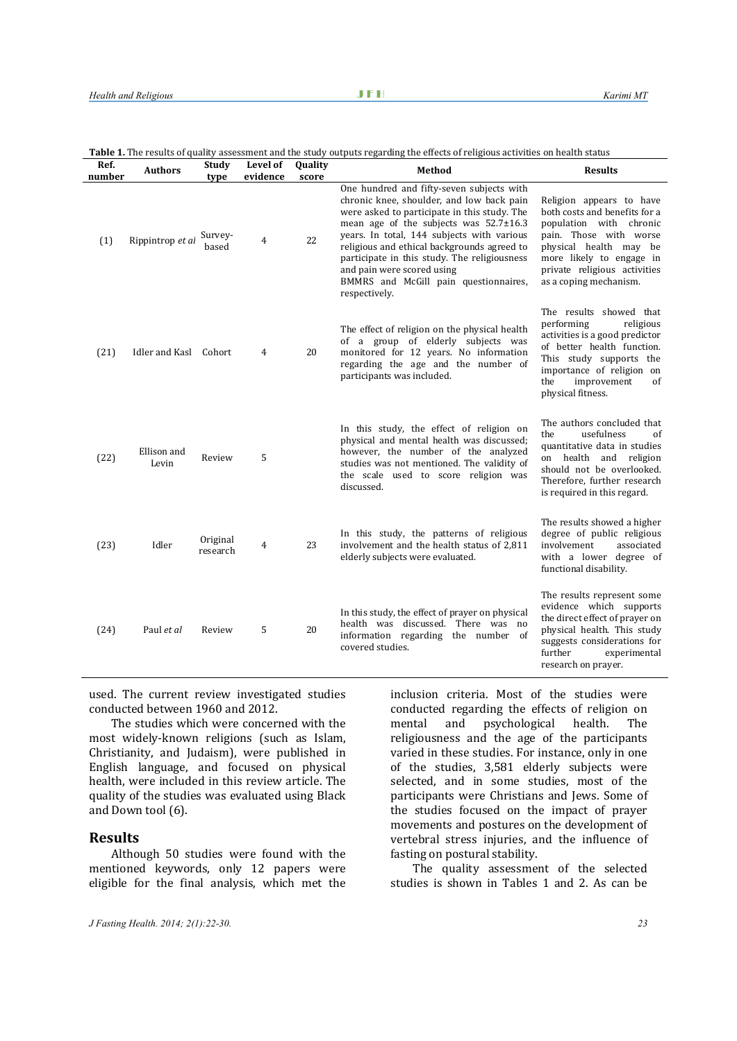| Table 1. The results of quality assessment and the study outputs regarding the effects of religious activities on health status |  |
|---------------------------------------------------------------------------------------------------------------------------------|--|
|                                                                                                                                 |  |

| Ref.<br>number | <b>Authors</b>        | Study<br>type        | Level of<br>evidence | Quality<br>score | Method                                                                                                                                                                                                                                                                                                                                                                                                                      | <b>Results</b>                                                                                                                                                                                                                 |
|----------------|-----------------------|----------------------|----------------------|------------------|-----------------------------------------------------------------------------------------------------------------------------------------------------------------------------------------------------------------------------------------------------------------------------------------------------------------------------------------------------------------------------------------------------------------------------|--------------------------------------------------------------------------------------------------------------------------------------------------------------------------------------------------------------------------------|
| (1)            | Rippintrop et al      | Survey-<br>based     | 4                    | 22               | One hundred and fifty-seven subjects with<br>chronic knee, shoulder, and low back pain<br>were asked to participate in this study. The<br>mean age of the subjects was $52.7 \pm 16.3$<br>years. In total, 144 subjects with various<br>religious and ethical backgrounds agreed to<br>participate in this study. The religiousness<br>and pain were scored using<br>BMMRS and McGill pain questionnaires,<br>respectively. | Religion appears to have<br>both costs and benefits for a<br>population with chronic<br>pain. Those with worse<br>physical health may be<br>more likely to engage in<br>private religious activities<br>as a coping mechanism. |
| (21)           | Idler and Kasl Cohort |                      | 4                    | 20               | The effect of religion on the physical health<br>of a group of elderly subjects was<br>monitored for 12 years. No information<br>regarding the age and the number of<br>participants was included.                                                                                                                                                                                                                          | The results showed that<br>performing<br>religious<br>activities is a good predictor<br>of better health function.<br>This study supports the<br>importance of religion on<br>the<br>improvement<br>of<br>physical fitness.    |
| (22)           | Ellison and<br>Levin  | Review               | 5                    |                  | In this study, the effect of religion on<br>physical and mental health was discussed;<br>however, the number of the analyzed<br>studies was not mentioned. The validity of<br>the scale used to score religion was<br>discussed.                                                                                                                                                                                            | The authors concluded that<br>the<br>usefulness<br>of<br>quantitative data in studies<br>on health and religion<br>should not be overlooked.<br>Therefore, further research<br>is required in this regard.                     |
| (23)           | Idler                 | Original<br>research | 4                    | 23               | In this study, the patterns of religious<br>involvement and the health status of 2,811<br>elderly subjects were evaluated.                                                                                                                                                                                                                                                                                                  | The results showed a higher<br>degree of public religious<br>involvement<br>associated<br>with a lower degree of<br>functional disability.                                                                                     |
| (24)           | Paul et al            | Review               | 5                    | 20               | In this study, the effect of prayer on physical<br>health was discussed. There was no<br>information regarding the number of<br>covered studies.                                                                                                                                                                                                                                                                            | The results represent some<br>evidence which supports<br>the direct effect of prayer on<br>physical health. This study<br>suggests considerations for<br>further<br>experimental<br>research on prayer.                        |

used. The current review investigated studies conducted between 1960 and 2012.

The studies which were concerned with the most widely-known religions (such as Islam, Christianity, and Judaism), were published in English language, and focused on physical health, were included in this review article. The quality of the studies was evaluated using Black and Down tool [\(6\)](#page-7-5).

# **Results**

Although 50 studies were found with the mentioned keywords, only 12 papers were eligible for the final analysis, which met the inclusion criteria. Most of the studies were conducted regarding the effects of religion on<br>mental and psychological health. The mental and psychological health. The religiousness and the age of the participants varied in these studies. For instance, only in one of the studies, 3,581 elderly subjects were selected, and in some studies, most of the participants were Christians and Jews. Some of the studies focused on the impact of prayer movements and postures on the development of vertebral stress injuries, and the influence of fasting on postural stability.

The quality assessment of the selected studies is shown in Tables 1 and 2. As can be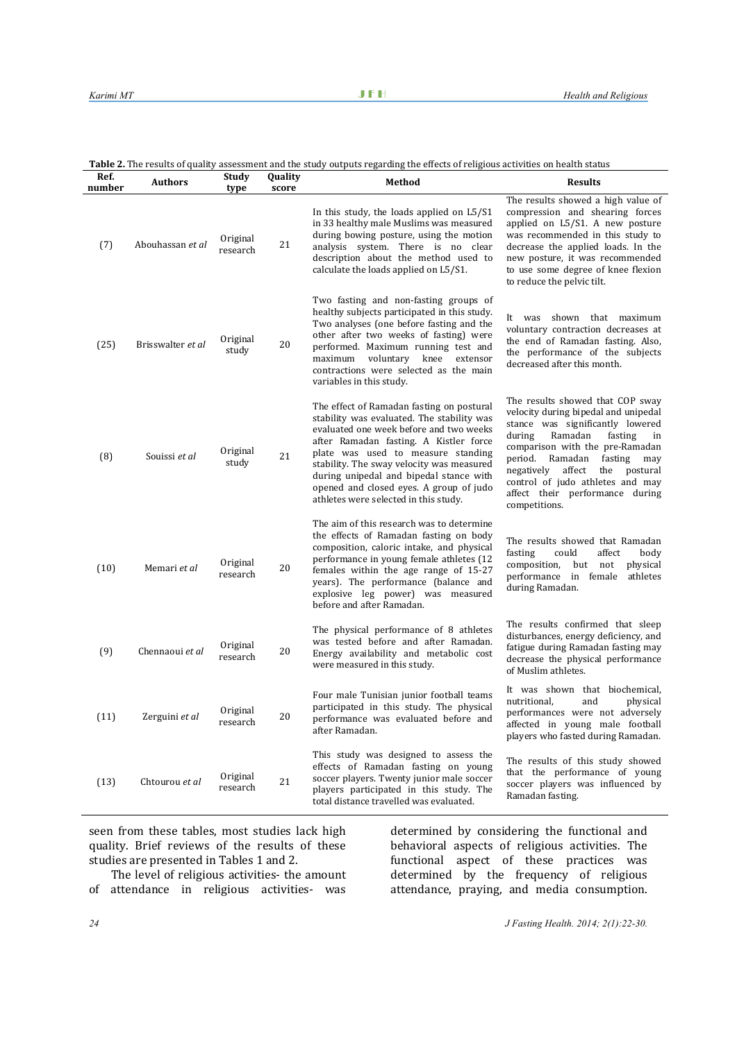**Table 2.** The results of quality assessment and the study outputs regarding the effects of religious activities on health status

| Ref.<br>number | <b>Authors</b>    | Study<br>type        | Quality<br>score | Method                                                                                                                                                                                                                                                                                                                                                                                         | <b>Results</b>                                                                                                                                                                                                                                                                                                                                                   |
|----------------|-------------------|----------------------|------------------|------------------------------------------------------------------------------------------------------------------------------------------------------------------------------------------------------------------------------------------------------------------------------------------------------------------------------------------------------------------------------------------------|------------------------------------------------------------------------------------------------------------------------------------------------------------------------------------------------------------------------------------------------------------------------------------------------------------------------------------------------------------------|
| (7)            | Abouhassan et al  | Original<br>research | 21               | In this study, the loads applied on L5/S1<br>in 33 healthy male Muslims was measured<br>during bowing posture, using the motion<br>analysis system. There is no clear<br>description about the method used to<br>calculate the loads applied on L5/S1.                                                                                                                                         | The results showed a high value of<br>compression and shearing forces<br>applied on L5/S1. A new posture<br>was recommended in this study to<br>decrease the applied loads. In the<br>new posture, it was recommended<br>to use some degree of knee flexion<br>to reduce the pelvic tilt.                                                                        |
| (25)           | Brisswalter et al | Original<br>study    | 20               | Two fasting and non-fasting groups of<br>healthy subjects participated in this study.<br>Two analyses (one before fasting and the<br>other after two weeks of fasting) were<br>performed. Maximum running test and<br>maximum voluntary<br>knee<br>extensor<br>contractions were selected as the main<br>variables in this study.                                                              | It was shown that maximum<br>voluntary contraction decreases at<br>the end of Ramadan fasting. Also,<br>the performance of the subjects<br>decreased after this month.                                                                                                                                                                                           |
| (8)            | Souissi et al     | Original<br>study    | 21               | The effect of Ramadan fasting on postural<br>stability was evaluated. The stability was<br>evaluated one week before and two weeks<br>after Ramadan fasting. A Kistler force<br>plate was used to measure standing<br>stability. The sway velocity was measured<br>during unipedal and bipedal stance with<br>opened and closed eyes. A group of judo<br>athletes were selected in this study. | The results showed that COP sway<br>velocity during bipedal and unipedal<br>stance was significantly lowered<br>Ramadan<br>during<br>fasting<br>in<br>comparison with the pre-Ramadan<br>period.<br>Ramadan<br>fasting<br>may<br>affect<br>negatively<br>the<br>postural<br>control of judo athletes and may<br>affect their performance during<br>competitions. |
| (10)           | Memari et al      | Original<br>research | 20               | The aim of this research was to determine<br>the effects of Ramadan fasting on body<br>composition, caloric intake, and physical<br>performance in young female athletes (12<br>females within the age range of 15-27<br>years). The performance (balance and<br>explosive leg power) was measured<br>before and after Ramadan.                                                                | The results showed that Ramadan<br>fasting<br>could<br>affect<br>body<br>composition,<br>but<br>not<br>physical<br>performance in female athletes<br>during Ramadan.                                                                                                                                                                                             |
| (9)            | Chennaoui et al   | Original<br>research | 20               | The physical performance of 8 athletes<br>was tested before and after Ramadan.<br>Energy availability and metabolic cost<br>were measured in this study.                                                                                                                                                                                                                                       | The results confirmed that sleep<br>disturbances, energy deficiency, and<br>fatigue during Ramadan fasting may<br>decrease the physical performance<br>of Muslim athletes.                                                                                                                                                                                       |
| (11)           | Zerguini et al    | Original<br>research | 20               | Four male Tunisian junior football teams<br>participated in this study. The physical<br>performance was evaluated before and<br>after Ramadan.                                                                                                                                                                                                                                                 | It was shown that biochemical,<br>nutritional,<br>and<br>physical<br>performances were not adversely<br>affected in young male football<br>players who fasted during Ramadan.                                                                                                                                                                                    |
| (13)           | Chtourou et al    | Original<br>research | 21               | This study was designed to assess the<br>effects of Ramadan fasting on young<br>soccer players. Twenty junior male soccer<br>players participated in this study. The<br>total distance travelled was evaluated.                                                                                                                                                                                | The results of this study showed<br>that the performance of young<br>soccer players was influenced by<br>Ramadan fasting.                                                                                                                                                                                                                                        |

seen from these tables, most studies lack high quality. Brief reviews of the results of these studies are presented in Tables 1 and 2.

The level of religious activities- the amount of attendance in religious activities- was

determined by considering the functional and behavioral aspects of religious activities. The functional aspect of these practices was determined by the frequency of religious attendance, praying, and media consumption.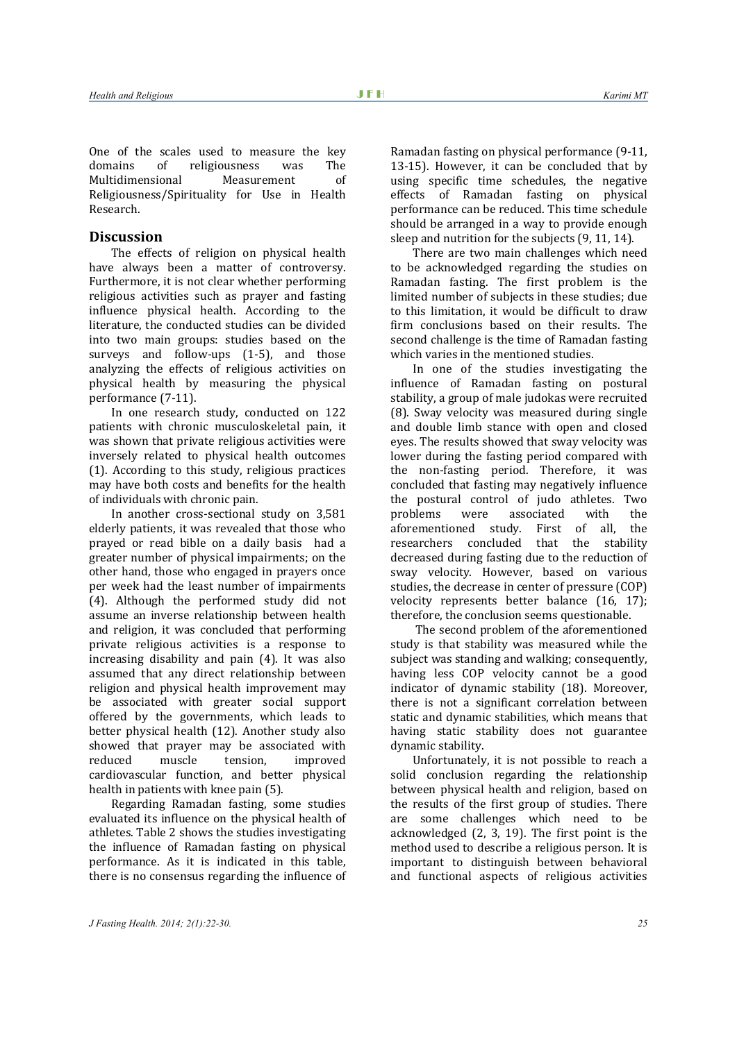One of the scales used to measure the key<br>domains of religiousness was The religiousness was The<br>Measurement of Multidimensional Religiousness/Spirituality for Use in Health Research.

## **Discussion**

The effects of religion on physical health have always been a matter of controversy. Furthermore, it is not clear whether performing religious activities such as prayer and fasting influence physical health. According to the literature, the conducted studies can be divided into two main groups: studies based on the surveys and follow-ups [\(1-5\)](#page-7-0), and those analyzing the effects of religious activities on physical health by measuring the physical performance [\(7-11\)](#page-7-6).

In one research study, conducted on 122 patients with chronic musculoskeletal pain, it was shown that private religious activities were inversely related to physical health outcomes [\(1\)](#page-7-0). According to this study, religious practices may have both costs and benefits for the health of individuals with chronic pain.

In another cross-sectional study on 3,581 elderly patients, it was revealed that those who prayed or read bible on a daily basis had a greater number of physical impairments; on the other hand, those who engaged in prayers once per week had the least number of impairments [\(4\)](#page-7-3). Although the performed study did not assume an inverse relationship between health and religion, it was concluded that performing private religious activities is a response to increasing disability and pain [\(4\)](#page-7-3). It was also assumed that any direct relationship between religion and physical health improvement may be associated with greater social support offered by the governments, which leads to better physical health [\(12\)](#page-7-12). Another study also showed that prayer may be associated with<br>reduced muscle tension. improved improved cardiovascular function, and better physical health in patients with knee pain [\(5\)](#page-7-4).

Regarding Ramadan fasting, some studies evaluated its influence on the physical health of athletes. Table 2 shows the studies investigating the influence of Ramadan fasting on physical performance. As it is indicated in this table, there is no consensus regarding the influence of

Ramadan fasting on physical performance [\(9-11,](#page-7-9) [13-15\)](#page-7-11). However, it can be concluded that by using specific time schedules, the negative effects of Ramadan fasting on physical performance can be reduced. This time schedule should be arranged in a way to provide enough sleep and nutrition for the subjects [\(9,](#page-7-9) [11,](#page-7-10) [14\)](#page-7-13).

There are two main challenges which need to be acknowledged regarding the studies on Ramadan fasting. The first problem is the limited number of subjects in these studies; due to this limitation, it would be difficult to draw firm conclusions based on their results. The second challenge is the time of Ramadan fasting which varies in the mentioned studies.

In one of the studies investigating the influence of Ramadan fasting on postural stability, a group of male judokas were recruited [\(8\)](#page-7-7). Sway velocity was measured during single and double limb stance with open and closed eyes. The results showed that sway velocity was lower during the fasting period compared with the non-fasting period. Therefore, it was concluded that fasting may negatively influence the postural control of judo athletes. Two<br>problems were associated with the problems were associated with the<br>aforementioned study. First of all. the ed study. First of all, the<br>concluded that the stability researchers decreased during fasting due to the reduction of sway velocity. However, based on various studies, the decrease in center of pressure (COP) velocity represents better balance [\(16,](#page-7-14) [17\)](#page-8-5); therefore, the conclusion seems questionable.

The second problem of the aforementioned study is that stability was measured while the subject was standing and walking; consequently, having less COP velocity cannot be a good indicator of dynamic stability [\(18\)](#page-8-6). Moreover, there is not a significant correlation between static and dynamic stabilities, which means that having static stability does not guarantee dynamic stability.

Unfortunately, it is not possible to reach a solid conclusion regarding the relationship between physical health and religion, based on the results of the first group of studies. There are some challenges which need to be acknowledged [\(2,](#page-7-1) [3,](#page-7-2) [19\)](#page-8-7). The first point is the method used to describe a religious person. It is important to distinguish between behavioral and functional aspects of religious activities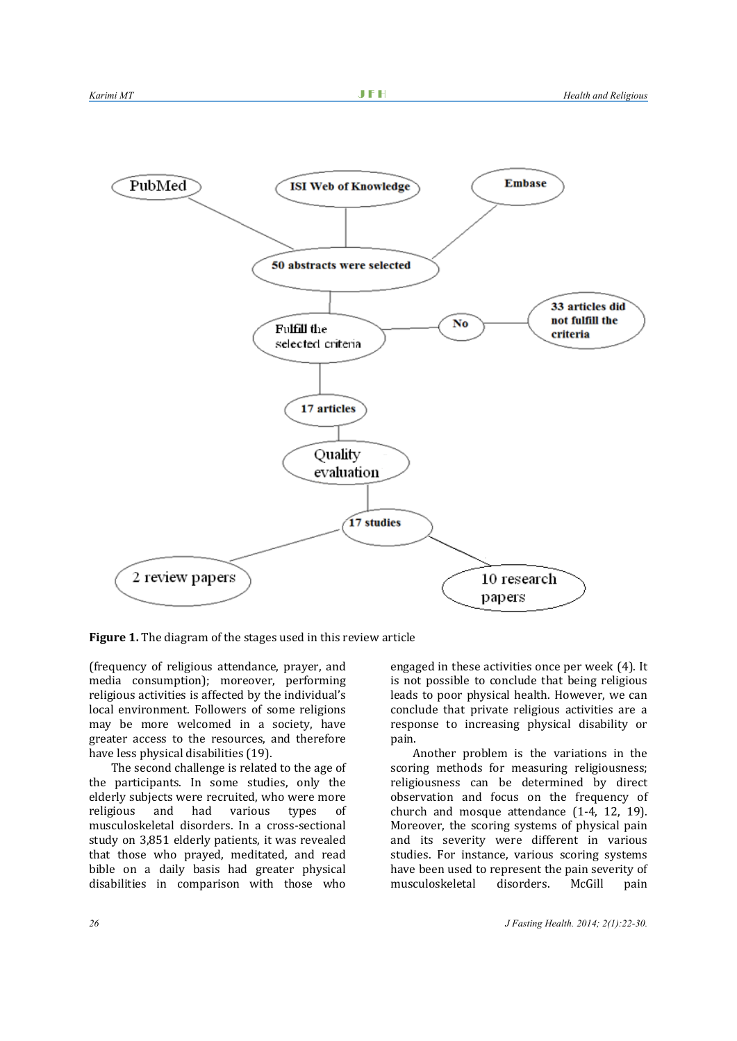

**Figure 1.** The diagram of the stages used in this review article

(frequency of religious attendance, prayer, and media consumption); moreover, performing religious activities is affected by the individual's local environment. Followers of some religions may be more welcomed in a society, have greater access to the resources, and therefore have less physical disabilities [\(19\)](#page-8-7).

The second challenge is related to the age of the participants. In some studies, only the elderly subjects were recruited, who were more<br>religious and had various types of religious and had various types of musculoskeletal disorders. In a cross-sectional study on 3,851 elderly patients, it was revealed that those who prayed, meditated, and read bible on a daily basis had greater physical disabilities in comparison with those who

engaged in these activities once per week [\(4\)](#page-7-3). It is not possible to conclude that being religious leads to poor physical health. However, we can conclude that private religious activities are a response to increasing physical disability or pain.

Another problem is the variations in the scoring methods for measuring religiousness; religiousness can be determined by direct observation and focus on the frequency of church and mosque attendance [\(1-4,](#page-7-0) [12,](#page-7-12) [19\)](#page-8-7). Moreover, the scoring systems of physical pain and its severity were different in various studies. For instance, various scoring systems have been used to represent the pain severity of<br>musculoskeletal disorders. McGill pain musculoskeletal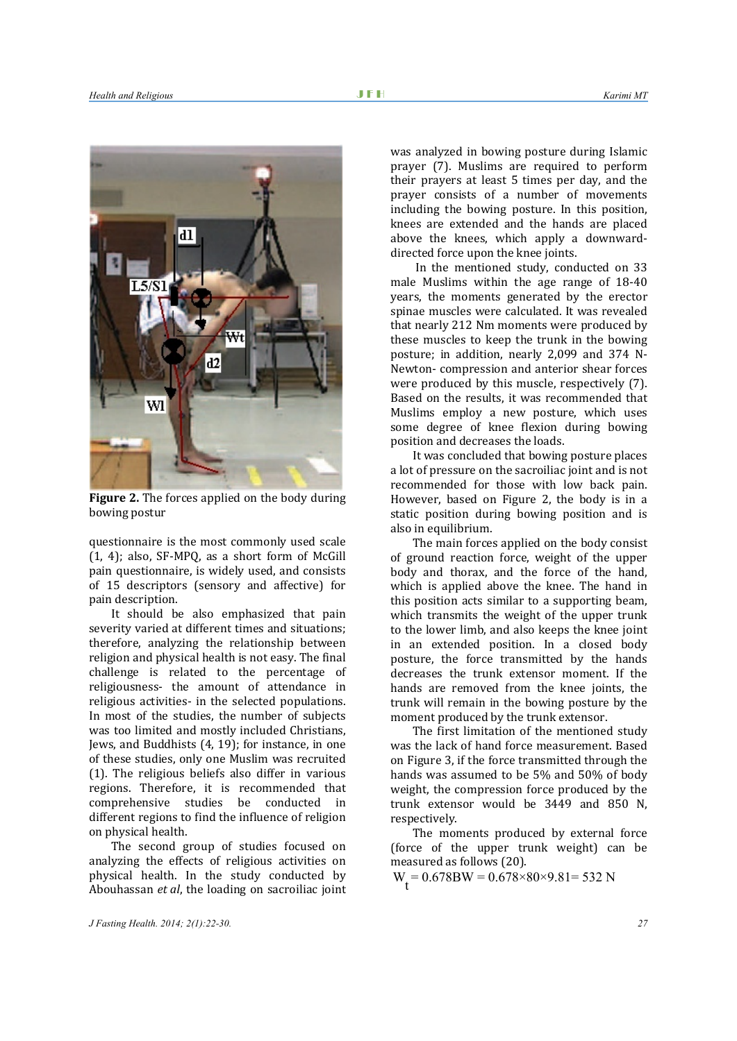

**Figure 2.** The forces applied on the body during bowing postur

questionnaire is the most commonly used scale [\(1,](#page-7-0) [4\)](#page-7-3); also, SF-MPQ, as a short form of McGill pain questionnaire, is widely used, and consists of 15 descriptors (sensory and affective) for pain description.

It should be also emphasized that pain severity varied at different times and situations; therefore, analyzing the relationship between religion and physical health is not easy. The final challenge is related to the percentage of religiousness- the amount of attendance in religious activities- in the selected populations. In most of the studies, the number of subjects was too limited and mostly included Christians, Jews, and Buddhists [\(4,](#page-7-3) [19\)](#page-8-7); for instance, in one of these studies, only one Muslim was recruited [\(1\)](#page-7-0). The religious beliefs also differ in various regions. Therefore, it is recommended that comprehensive studies be conducted in different regions to find the influence of religion on physical health.

The second group of studies focused on analyzing the effects of religious activities on physical health. In the study conducted by Abouhassan *et al*, the loading on sacroiliac joint was analyzed in bowing posture during Islamic prayer [\(7\)](#page-7-6). Muslims are required to perform their prayers at least 5 times per day, and the prayer consists of a number of movements including the bowing posture. In this position, knees are extended and the hands are placed above the knees, which apply a downwarddirected force upon the knee joints.

In the mentioned study, conducted on 33 male Muslims within the age range of 18-40 years, the moments generated by the erector spinae muscles were calculated. It was revealed that nearly 212 Nm moments were produced by these muscles to keep the trunk in the bowing posture; in addition, nearly 2,099 and 374 N-Newton- compression and anterior shear forces were produced by this muscle, respectively [\(7\)](#page-7-6). Based on the results, it was recommended that Muslims employ a new posture, which uses some degree of knee flexion during bowing position and decreases the loads.

It was concluded that bowing posture places a lot of pressure on the sacroiliac joint and is not recommended for those with low back pain. However, based on Figure 2, the body is in a static position during bowing position and is also in equilibrium.

The main forces applied on the body consist of ground reaction force, weight of the upper body and thorax, and the force of the hand, which is applied above the knee. The hand in this position acts similar to a supporting beam, which transmits the weight of the upper trunk to the lower limb, and also keeps the knee joint in an extended position. In a closed body posture, the force transmitted by the hands decreases the trunk extensor moment. If the hands are removed from the knee joints, the trunk will remain in the bowing posture by the moment produced by the trunk extensor.

The first limitation of the mentioned study was the lack of hand force measurement. Based on Figure 3, if the force transmitted through the hands was assumed to be 5% and 50% of body weight, the compression force produced by the trunk extensor would be 3449 and 850 N, respectively.

The moments produced by external force (force of the upper trunk weight) can be measured as follows [\(20\)](#page-8-8).

 $W_2 = 0.678BW = 0.678 \times 80 \times 9.81 = 532 N$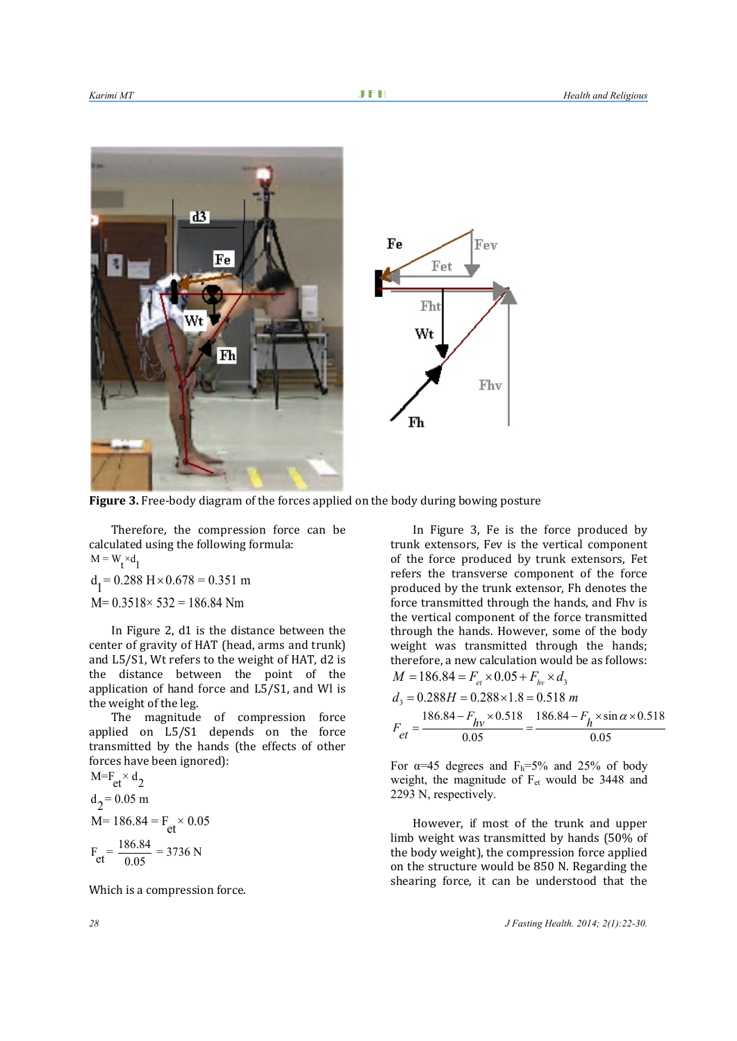

**Figure 3.** Free-body diagram of the forces applied on the body during bowing posture

Therefore, the compression force can be calculated using the following formula:  $M = W_t \times d_1$ 

 $d_1 = 0.288$  H × 0.678 = 0.351 m  $M= 0.3518 \times 532 = 186.84$  Nm

In Figure 2, d1 is the distance between the center of gravity of HAT (head, arms and trunk) and L5/S1, Wt refers to the weight of HAT, d2 is the distance between the point of the application of hand force and L5/S1, and Wl is the weight of the leg.

The magnitude of compression force applied on L5/S1 depends on the force transmitted by the hands (the effects of other forces have been ignored):

$$
M = F_{et} \times d_2
$$
  
\n $d_2 = 0.05 \text{ m}$   
\n
$$
M = 186.84 = F_{et} \times 0.05
$$
  
\n $F_{et} = \frac{186.84}{0.05} = 3736 \text{ N}$ 

Which is a compression force.

In Figure 3, Fe is the force produced by trunk extensors, Fev is the vertical component of the force produced by trunk extensors, Fet refers the transverse component of the force produced by the trunk extensor, Fh denotes the force transmitted through the hands, and Fhv is the vertical component of the force transmitted through the hands. However, some of the body weight was transmitted through the hands; therefore, a new calculation would be as follows:  $M = 186.84 = F_{et} \times 0.05 + F_{hc} \times d$ 

Fev

Fhy

Fet

Fht

Wt

$$
d_3 = 0.288H = 0.288 \times 1.8 = 0.518 m
$$
  

$$
F_{et} = \frac{186.84 - F_{hv} \times 0.518}{0.05} = \frac{186.84 - F_h \times \sin \alpha \times 0.518}{0.05}
$$

For  $\alpha$ =45 degrees and F<sub>h</sub>=5% and 25% of body weight, the magnitude of Fet would be 3448 and 2293 N, respectively.

However, if most of the trunk and upper limb weight was transmitted by hands (50% of the body weight), the compression force applied on the structure would be 850 N. Regarding the shearing force, it can be understood that the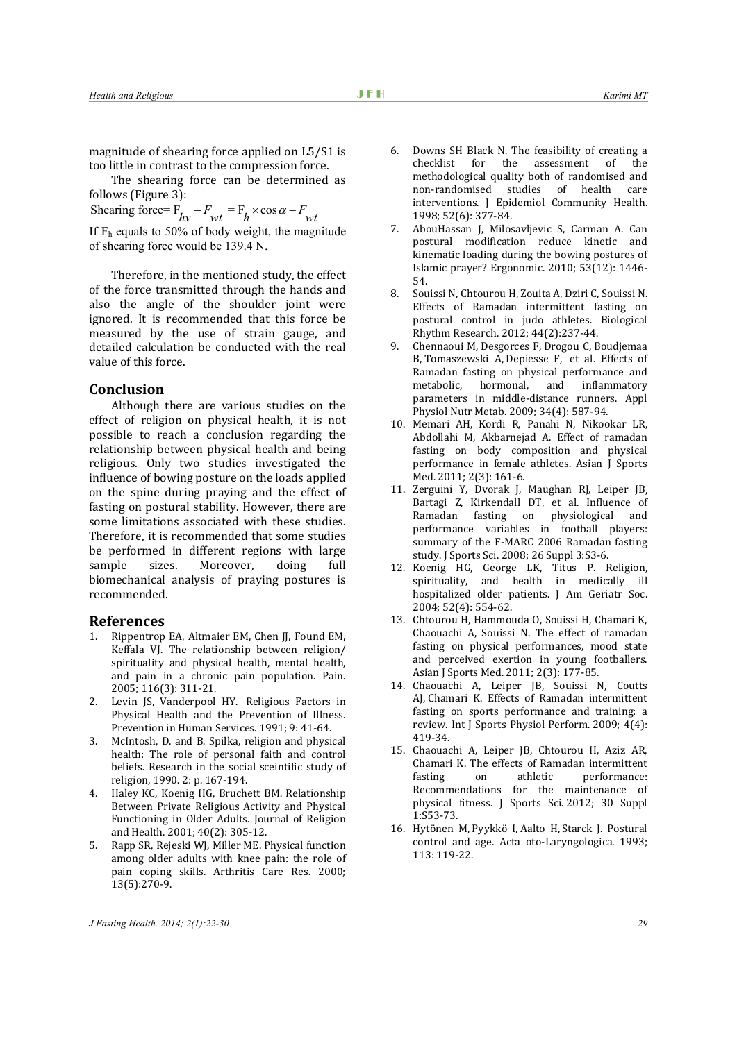magnitude of shearing force applied on L5/S1 is too little in contrast to the compression force.

The shearing force can be determined as follows (Figure 3):

Shearing force=  $F_{hv} - F_{wt} = F_h \times \cos \alpha - F_{wt}$ If  $F_h$  equals to 50% of body weight, the magnitude of shearing force would be 139.4 N.

Therefore, in the mentioned study, the effect of the force transmitted through the hands and also the angle of the shoulder joint were ignored. It is recommended that this force be measured by the use of strain gauge, and detailed calculation be conducted with the real value of this force.

## **Conclusion**

Although there are various studies on the effect of religion on physical health, it is not possible to reach a conclusion regarding the relationship between physical health and being religious. Only two studies investigated the influence of bowing posture on the loads applied on the spine during praying and the effect of fasting on postural stability. However, there are some limitations associated with these studies. Therefore, it is recommended that some studies be performed in different regions with large<br>sample sizes. Moreover, doing full sample sizes. Moreover, doing full biomechanical analysis of praying postures is recommended.

### **References**

- <span id="page-7-0"></span>1. [Rippentrop EA,](http://www.ncbi.nlm.nih.gov/pubmed?term=Rippentrop%20EA%5BAuthor%5D&cauthor=true&cauthor_uid=15979795) [Altmaier EM,](http://www.ncbi.nlm.nih.gov/pubmed?term=Altmaier%20EM%5BAuthor%5D&cauthor=true&cauthor_uid=15979795) [Chen JJ,](http://www.ncbi.nlm.nih.gov/pubmed?term=Chen%20JJ%5BAuthor%5D&cauthor=true&cauthor_uid=15979795) [Found EM,](http://www.ncbi.nlm.nih.gov/pubmed?term=Found%20EM%5BAuthor%5D&cauthor=true&cauthor_uid=15979795)  [Keffala VJ.](http://www.ncbi.nlm.nih.gov/pubmed?term=Keffala%20VJ%5BAuthor%5D&cauthor=true&cauthor_uid=15979795) The relationship between religion/ spirituality and physical health, mental health, and pain in a chronic pain population. Pain. 2005; 116(3): 311-21.
- <span id="page-7-1"></span>2. Levin JS, Vanderpool HY. Religious Factors in Physical Health and the Prevention of Illness. Prevention in Human Services. 1991; 9: 41-64.
- <span id="page-7-2"></span>3. McIntosh, D. and B. Spilka, religion and physical health: The role of personal faith and control beliefs. Research in the social sceintific study of religion, 1990. 2: p. 167-194.
- <span id="page-7-3"></span>4. Haley KC, Koenig HG, Bruchett BM. Relationship Between Private Religious Activity and Physical Functioning in Older Adults. Journal of Religion and Health. 2001; 40(2): 305-12.
- <span id="page-7-4"></span>5. Rapp SR, Rejeski WJ, Miller ME. Physical function among older adults with knee pain: the role of pain coping skills. Arthritis Care Res. 2000; 13(5):270-9.
- <span id="page-7-5"></span>6. Downs SH Black N. The feasibility of creating a for the assessment of methodological quality both of randomised and<br>non-randomised studies of health care non-randomised studies of health care interventions. J Epidemiol Community Health. 1998; 52(6): 377-84.
- <span id="page-7-6"></span>7. AbouHassan J, Milosavljevic S, Carman A. Can postural modification reduce kinetic and kinematic loading during the bowing postures of Islamic prayer? Ergonomic. 2010; 53(12): 1446- 54.
- <span id="page-7-7"></span>8. Souissi N, Chtourou H, Zouita A, Dziri C, Souissi N. Effects of Ramadan intermittent fasting on postural control in judo athletes. Biological Rhythm Research. 2012; 44(2):237-44.
- <span id="page-7-9"></span>9. [Chennaoui M,](http://www.ncbi.nlm.nih.gov/pubmed?term=Chennaoui%20M%5BAuthor%5D&cauthor=true&cauthor_uid=19767792) [Desgorces F,](http://www.ncbi.nlm.nih.gov/pubmed?term=Desgorces%20F%5BAuthor%5D&cauthor=true&cauthor_uid=19767792) [Drogou C,](http://www.ncbi.nlm.nih.gov/pubmed?term=Drogou%20C%5BAuthor%5D&cauthor=true&cauthor_uid=19767792) [Boudjemaa](http://www.ncbi.nlm.nih.gov/pubmed?term=Boudjemaa%20B%5BAuthor%5D&cauthor=true&cauthor_uid=19767792)  [B,](http://www.ncbi.nlm.nih.gov/pubmed?term=Boudjemaa%20B%5BAuthor%5D&cauthor=true&cauthor_uid=19767792) [Tomaszewski A,](http://www.ncbi.nlm.nih.gov/pubmed?term=Tomaszewski%20A%5BAuthor%5D&cauthor=true&cauthor_uid=19767792) [Depiesse F,](http://www.ncbi.nlm.nih.gov/pubmed?term=Depiesse%20F%5BAuthor%5D&cauthor=true&cauthor_uid=19767792) et al. Effects of Ramadan fasting on physical performance and<br>metabolic, hormonal, and inflammatory hormonal, and inflammatory parameters in middle-distance runners. Appl Physiol Nutr Metab. 2009; 34(4): 587-94.
- <span id="page-7-8"></span>10. [Memari AH,](http://www.ncbi.nlm.nih.gov/pubmed?term=Memari%20AH%5BAuthor%5D&cauthor=true&cauthor_uid=22375235) [Kordi R,](http://www.ncbi.nlm.nih.gov/pubmed?term=Kordi%20R%5BAuthor%5D&cauthor=true&cauthor_uid=22375235) [Panahi N,](http://www.ncbi.nlm.nih.gov/pubmed?term=Panahi%20N%5BAuthor%5D&cauthor=true&cauthor_uid=22375235) [Nikookar LR,](http://www.ncbi.nlm.nih.gov/pubmed?term=Nikookar%20LR%5BAuthor%5D&cauthor=true&cauthor_uid=22375235)  [Abdollahi M,](http://www.ncbi.nlm.nih.gov/pubmed?term=Abdollahi%20M%5BAuthor%5D&cauthor=true&cauthor_uid=22375235) [Akbarnejad A.](http://www.ncbi.nlm.nih.gov/pubmed?term=Akbarnejad%20A%5BAuthor%5D&cauthor=true&cauthor_uid=22375235) Effect of ramadan fasting on body composition and physical performance in female athletes. Asian J Sports Med. 2011; 2(3): 161-6.
- <span id="page-7-10"></span>11. [Zerguini Y,](http://www.ncbi.nlm.nih.gov/pubmed?term=Zerguini%20Y%5BAuthor%5D&cauthor=true&cauthor_uid=19085447) [Dvorak J,](http://www.ncbi.nlm.nih.gov/pubmed?term=Dvorak%20J%5BAuthor%5D&cauthor=true&cauthor_uid=19085447) [Maughan RJ,](http://www.ncbi.nlm.nih.gov/pubmed?term=Maughan%20RJ%5BAuthor%5D&cauthor=true&cauthor_uid=19085447) [Leiper JB,](http://www.ncbi.nlm.nih.gov/pubmed?term=Leiper%20JB%5BAuthor%5D&cauthor=true&cauthor_uid=19085447)  [Bartagi Z,](http://www.ncbi.nlm.nih.gov/pubmed?term=Bartagi%20Z%5BAuthor%5D&cauthor=true&cauthor_uid=19085447) [Kirkendall DT,](http://www.ncbi.nlm.nih.gov/pubmed?term=Kirkendall%20DT%5BAuthor%5D&cauthor=true&cauthor_uid=19085447) et al. Influence of<br>Ramadan fasting on physiological and Ramadan fasting on physiological performance variables in football players: summary of the F-MARC 2006 Ramadan fasting study. [J Sports Sci.](http://www.ncbi.nlm.nih.gov/pubmed/19085447) 2008; 26 Suppl 3:S3-6.
- <span id="page-7-12"></span>12. [Koenig HG,](http://www.ncbi.nlm.nih.gov/pubmed?term=Koenig%20HG%5BAuthor%5D&cauthor=true&cauthor_uid=15066070) [George LK,](http://www.ncbi.nlm.nih.gov/pubmed?term=George%20LK%5BAuthor%5D&cauthor=true&cauthor_uid=15066070) [Titus P.](http://www.ncbi.nlm.nih.gov/pubmed?term=Titus%20P%5BAuthor%5D&cauthor=true&cauthor_uid=15066070) Religion, spirituality, and health in medically ill hospitalized older patients. J Am Geriatr Soc. 2004; 52(4): 554-62.
- <span id="page-7-11"></span>13. [Chtourou H,](http://www.ncbi.nlm.nih.gov/pubmed?term=Chtourou%20H%5BAuthor%5D&cauthor=true&cauthor_uid=22375237) [Hammouda O,](http://www.ncbi.nlm.nih.gov/pubmed?term=Hammouda%20O%5BAuthor%5D&cauthor=true&cauthor_uid=22375237) [Souissi H,](http://www.ncbi.nlm.nih.gov/pubmed?term=Souissi%20H%5BAuthor%5D&cauthor=true&cauthor_uid=22375237) [Chamari K,](http://www.ncbi.nlm.nih.gov/pubmed?term=Chamari%20K%5BAuthor%5D&cauthor=true&cauthor_uid=22375237)  [Chaouachi A,](http://www.ncbi.nlm.nih.gov/pubmed?term=Chaouachi%20A%5BAuthor%5D&cauthor=true&cauthor_uid=22375237) [Souissi N.](http://www.ncbi.nlm.nih.gov/pubmed?term=Souissi%20N%5BAuthor%5D&cauthor=true&cauthor_uid=22375237) The effect of ramadan fasting on physical performances, mood state and perceived exertion in young footballers. Asian J Sports Med. 2011; 2(3): 177-85.
- <span id="page-7-13"></span>14. [Chaouachi A,](http://www.ncbi.nlm.nih.gov/pubmed?term=Chaouachi%20A%5BAuthor%5D&cauthor=true&cauthor_uid=20029094) [Leiper JB,](http://www.ncbi.nlm.nih.gov/pubmed?term=Leiper%20JB%5BAuthor%5D&cauthor=true&cauthor_uid=20029094) [Souissi N,](http://www.ncbi.nlm.nih.gov/pubmed?term=Souissi%20N%5BAuthor%5D&cauthor=true&cauthor_uid=20029094) [Coutts](http://www.ncbi.nlm.nih.gov/pubmed?term=Coutts%20AJ%5BAuthor%5D&cauthor=true&cauthor_uid=20029094)  [AJ,](http://www.ncbi.nlm.nih.gov/pubmed?term=Coutts%20AJ%5BAuthor%5D&cauthor=true&cauthor_uid=20029094) [Chamari K.](http://www.ncbi.nlm.nih.gov/pubmed?term=Chamari%20K%5BAuthor%5D&cauthor=true&cauthor_uid=20029094) Effects of Ramadan intermittent fasting on sports performance and training: a review. [Int J Sports Physiol Perform.](http://www.ncbi.nlm.nih.gov/pubmed/20029094) 2009; 4(4): 419-34.
- 15. [Chaouachi A,](http://www.ncbi.nlm.nih.gov/pubmed?term=Chaouachi%20A%5BAuthor%5D&cauthor=true&cauthor_uid=22738880) [Leiper JB,](http://www.ncbi.nlm.nih.gov/pubmed?term=Leiper%20JB%5BAuthor%5D&cauthor=true&cauthor_uid=22738880) [Chtourou H,](http://www.ncbi.nlm.nih.gov/pubmed?term=Chtourou%20H%5BAuthor%5D&cauthor=true&cauthor_uid=22738880) [Aziz AR,](http://www.ncbi.nlm.nih.gov/pubmed?term=Aziz%20AR%5BAuthor%5D&cauthor=true&cauthor_uid=22738880)  [Chamari K.](http://www.ncbi.nlm.nih.gov/pubmed?term=Chamari%20K%5BAuthor%5D&cauthor=true&cauthor_uid=22738880) The effects of Ramadan intermittent fasting on a thletic performance: performance: Recommendations for the maintenance of physical fitness. [J Sports Sci.](http://www.ncbi.nlm.nih.gov/pubmed/22738880) 2012; 30 Suppl 1:S53-73.
- <span id="page-7-14"></span>16. [Hytönen M,](http://www.ncbi.nlm.nih.gov/pubmed?term=Hyt%C3%B6nen%20M%5BAuthor%5D&cauthor=true&cauthor_uid=8475724) [Pyykkö I,](http://www.ncbi.nlm.nih.gov/pubmed?term=Pyykk%C3%B6%20I%5BAuthor%5D&cauthor=true&cauthor_uid=8475724) [Aalto H,](http://www.ncbi.nlm.nih.gov/pubmed?term=Aalto%20H%5BAuthor%5D&cauthor=true&cauthor_uid=8475724) [Starck J.](http://www.ncbi.nlm.nih.gov/pubmed?term=Starck%20J%5BAuthor%5D&cauthor=true&cauthor_uid=8475724) Postural control and age. Acta oto-Laryngologica. 1993; 113: 119-22.

*J Fasting Health. 2014; 2(1):22-30. 29*